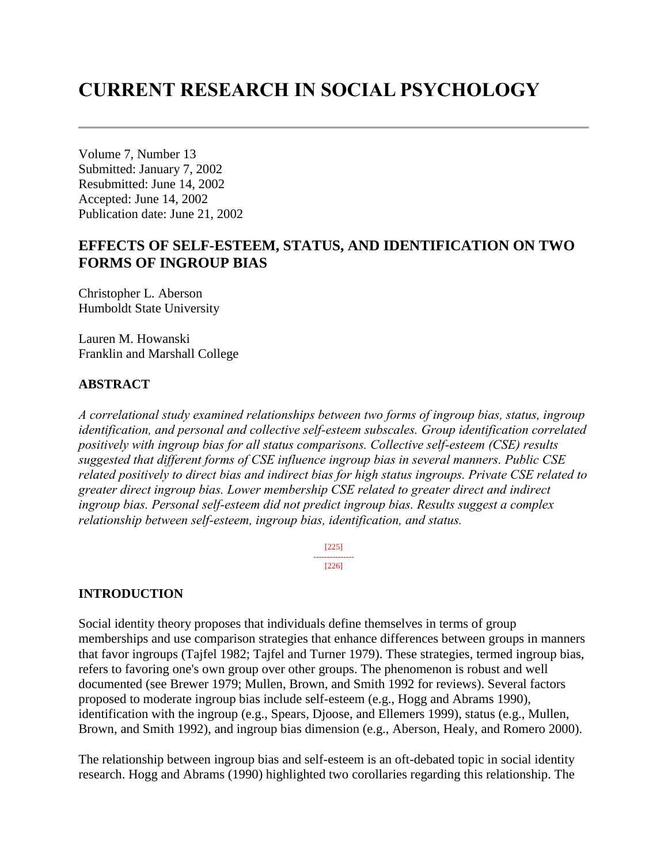# **CURRENT RESEARCH IN SOCIAL PSYCHOLOGY**

Volume 7, Number 13 Submitted: January 7, 2002 Resubmitted: June 14, 2002 Accepted: June 14, 2002 Publication date: June 21, 2002

# **EFFECTS OF SELF-ESTEEM, STATUS, AND IDENTIFICATION ON TWO FORMS OF INGROUP BIAS**

Christopher L. Aberson Humboldt State University

Lauren M. Howanski Franklin and Marshall College

#### **ABSTRACT**

*A correlational study examined relationships between two forms of ingroup bias, status, ingroup identification, and personal and collective self-esteem subscales. Group identification correlated positively with ingroup bias for all status comparisons. Collective self-esteem (CSE) results suggested that different forms of CSE influence ingroup bias in several manners. Public CSE related positively to direct bias and indirect bias for high status ingroups. Private CSE related to greater direct ingroup bias. Lower membership CSE related to greater direct and indirect ingroup bias. Personal self-esteem did not predict ingroup bias. Results suggest a complex relationship between self-esteem, ingroup bias, identification, and status.*

> [225] --------------- [226]

#### **INTRODUCTION**

Social identity theory proposes that individuals define themselves in terms of group memberships and use comparison strategies that enhance differences between groups in manners that favor ingroups (Tajfel 1982; Tajfel and Turner 1979). These strategies, termed ingroup bias, refers to favoring one's own group over other groups. The phenomenon is robust and well documented (see Brewer 1979; Mullen, Brown, and Smith 1992 for reviews). Several factors proposed to moderate ingroup bias include self-esteem (e.g., Hogg and Abrams 1990), identification with the ingroup (e.g., Spears, Djoose, and Ellemers 1999), status (e.g., Mullen, Brown, and Smith 1992), and ingroup bias dimension (e.g., Aberson, Healy, and Romero 2000).

The relationship between ingroup bias and self-esteem is an oft-debated topic in social identity research. Hogg and Abrams (1990) highlighted two corollaries regarding this relationship. The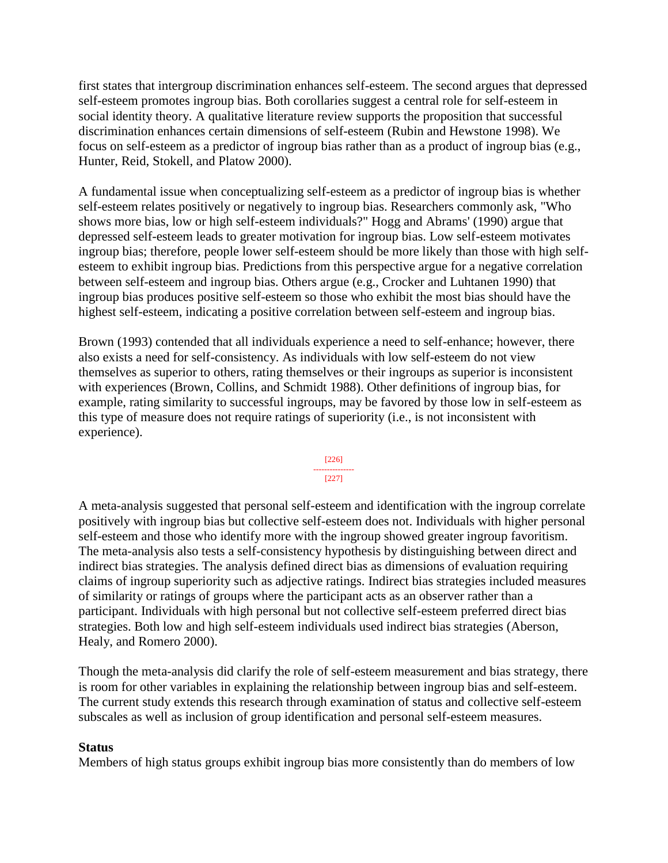first states that intergroup discrimination enhances self-esteem. The second argues that depressed self-esteem promotes ingroup bias. Both corollaries suggest a central role for self-esteem in social identity theory. A qualitative literature review supports the proposition that successful discrimination enhances certain dimensions of self-esteem (Rubin and Hewstone 1998). We focus on self-esteem as a predictor of ingroup bias rather than as a product of ingroup bias (e.g., Hunter, Reid, Stokell, and Platow 2000).

A fundamental issue when conceptualizing self-esteem as a predictor of ingroup bias is whether self-esteem relates positively or negatively to ingroup bias. Researchers commonly ask, "Who shows more bias, low or high self-esteem individuals?" Hogg and Abrams' (1990) argue that depressed self-esteem leads to greater motivation for ingroup bias. Low self-esteem motivates ingroup bias; therefore, people lower self-esteem should be more likely than those with high selfesteem to exhibit ingroup bias. Predictions from this perspective argue for a negative correlation between self-esteem and ingroup bias. Others argue (e.g., Crocker and Luhtanen 1990) that ingroup bias produces positive self-esteem so those who exhibit the most bias should have the highest self-esteem, indicating a positive correlation between self-esteem and ingroup bias.

Brown (1993) contended that all individuals experience a need to self-enhance; however, there also exists a need for self-consistency. As individuals with low self-esteem do not view themselves as superior to others, rating themselves or their ingroups as superior is inconsistent with experiences (Brown, Collins, and Schmidt 1988). Other definitions of ingroup bias, for example, rating similarity to successful ingroups, may be favored by those low in self-esteem as this type of measure does not require ratings of superiority (i.e., is not inconsistent with experience).



A meta-analysis suggested that personal self-esteem and identification with the ingroup correlate positively with ingroup bias but collective self-esteem does not. Individuals with higher personal self-esteem and those who identify more with the ingroup showed greater ingroup favoritism. The meta-analysis also tests a self-consistency hypothesis by distinguishing between direct and indirect bias strategies. The analysis defined direct bias as dimensions of evaluation requiring claims of ingroup superiority such as adjective ratings. Indirect bias strategies included measures of similarity or ratings of groups where the participant acts as an observer rather than a participant. Individuals with high personal but not collective self-esteem preferred direct bias strategies. Both low and high self-esteem individuals used indirect bias strategies (Aberson, Healy, and Romero 2000).

Though the meta-analysis did clarify the role of self-esteem measurement and bias strategy, there is room for other variables in explaining the relationship between ingroup bias and self-esteem. The current study extends this research through examination of status and collective self-esteem subscales as well as inclusion of group identification and personal self-esteem measures.

#### **Status**

Members of high status groups exhibit ingroup bias more consistently than do members of low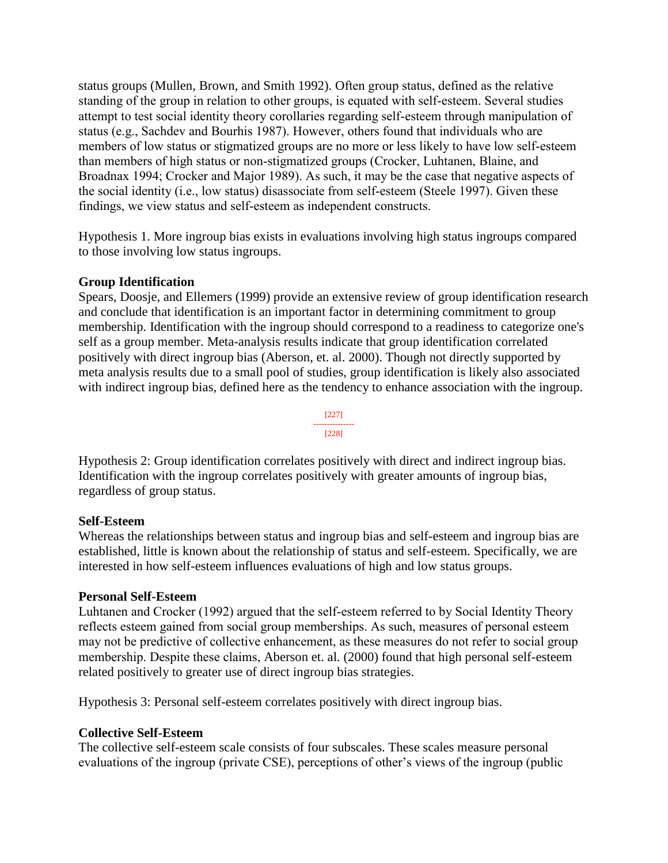status groups (Mullen, Brown, and Smith 1992). Often group status, defined as the relative standing of the group in relation to other groups, is equated with self-esteem. Several studies attempt to test social identity theory corollaries regarding self-esteem through manipulation of status (e.g., Sachdev and Bourhis 1987). However, others found that individuals who are members of low status or stigmatized groups are no more or less likely to have low self-esteem than members of high status or non-stigmatized groups (Crocker, Luhtanen, Blaine, and Broadnax 1994; Crocker and Major 1989). As such, it may be the case that negative aspects of the social identity (i.e., low status) disassociate from self-esteem (Steele 1997). Given these findings, we view status and self-esteem as independent constructs.

Hypothesis 1. More ingroup bias exists in evaluations involving high status ingroups compared to those involving low status ingroups.

#### **Group Identification**

Spears, Doosje, and Ellemers (1999) provide an extensive review of group identification research and conclude that identification is an important factor in determining commitment to group membership. Identification with the ingroup should correspond to a readiness to categorize one's self as a group member. Meta-analysis results indicate that group identification correlated positively with direct ingroup bias (Aberson, et. al. 2000). Though not directly supported by meta analysis results due to a small pool of studies, group identification is likely also associated with indirect ingroup bias, defined here as the tendency to enhance association with the ingroup.



Hypothesis 2: Group identification correlates positively with direct and indirect ingroup bias. Identification with the ingroup correlates positively with greater amounts of ingroup bias, regardless of group status.

#### **Self-Esteem**

Whereas the relationships between status and ingroup bias and self-esteem and ingroup bias are established, little is known about the relationship of status and self-esteem. Specifically, we are interested in how self-esteem influences evaluations of high and low status groups.

#### **Personal Self-Esteem**

Luhtanen and Crocker (1992) argued that the self-esteem referred to by Social Identity Theory reflects esteem gained from social group memberships. As such, measures of personal esteem may not be predictive of collective enhancement, as these measures do not refer to social group membership. Despite these claims, Aberson et. al. (2000) found that high personal self-esteem related positively to greater use of direct ingroup bias strategies.

Hypothesis 3: Personal self-esteem correlates positively with direct ingroup bias.

### **Collective Self-Esteem**

The collective self-esteem scale consists of four subscales. These scales measure personal evaluations of the ingroup (private CSE), perceptions of other's views of the ingroup (public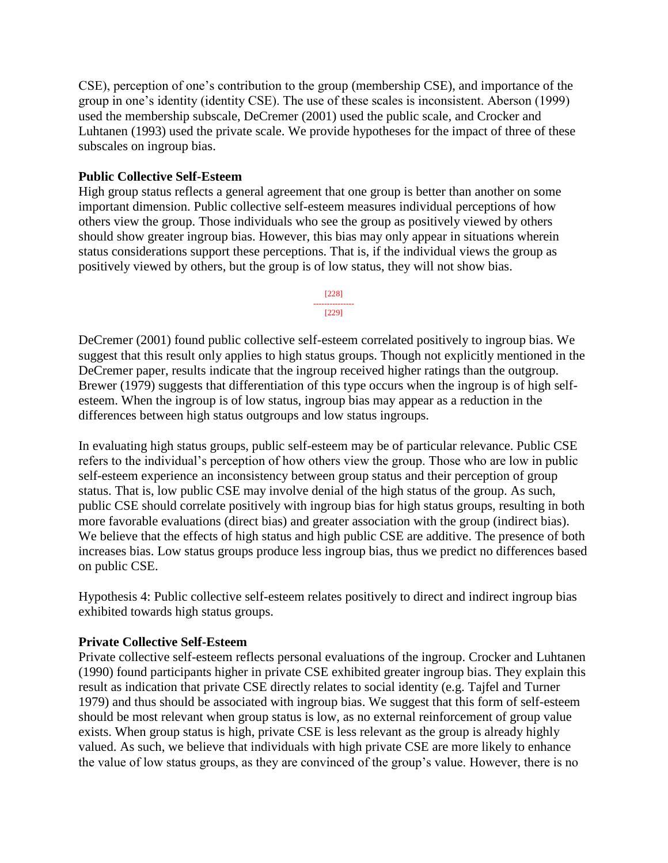CSE), perception of one's contribution to the group (membership CSE), and importance of the group in one's identity (identity CSE). The use of these scales is inconsistent. Aberson (1999) used the membership subscale, DeCremer (2001) used the public scale, and Crocker and Luhtanen (1993) used the private scale. We provide hypotheses for the impact of three of these subscales on ingroup bias.

#### **Public Collective Self-Esteem**

High group status reflects a general agreement that one group is better than another on some important dimension. Public collective self-esteem measures individual perceptions of how others view the group. Those individuals who see the group as positively viewed by others should show greater ingroup bias. However, this bias may only appear in situations wherein status considerations support these perceptions. That is, if the individual views the group as positively viewed by others, but the group is of low status, they will not show bias.



DeCremer (2001) found public collective self-esteem correlated positively to ingroup bias. We suggest that this result only applies to high status groups. Though not explicitly mentioned in the DeCremer paper, results indicate that the ingroup received higher ratings than the outgroup. Brewer (1979) suggests that differentiation of this type occurs when the ingroup is of high selfesteem. When the ingroup is of low status, ingroup bias may appear as a reduction in the differences between high status outgroups and low status ingroups.

In evaluating high status groups, public self-esteem may be of particular relevance. Public CSE refers to the individual's perception of how others view the group. Those who are low in public self-esteem experience an inconsistency between group status and their perception of group status. That is, low public CSE may involve denial of the high status of the group. As such, public CSE should correlate positively with ingroup bias for high status groups, resulting in both more favorable evaluations (direct bias) and greater association with the group (indirect bias). We believe that the effects of high status and high public CSE are additive. The presence of both increases bias. Low status groups produce less ingroup bias, thus we predict no differences based on public CSE.

Hypothesis 4: Public collective self-esteem relates positively to direct and indirect ingroup bias exhibited towards high status groups.

#### **Private Collective Self-Esteem**

Private collective self-esteem reflects personal evaluations of the ingroup. Crocker and Luhtanen (1990) found participants higher in private CSE exhibited greater ingroup bias. They explain this result as indication that private CSE directly relates to social identity (e.g. Tajfel and Turner 1979) and thus should be associated with ingroup bias. We suggest that this form of self-esteem should be most relevant when group status is low, as no external reinforcement of group value exists. When group status is high, private CSE is less relevant as the group is already highly valued. As such, we believe that individuals with high private CSE are more likely to enhance the value of low status groups, as they are convinced of the group's value. However, there is no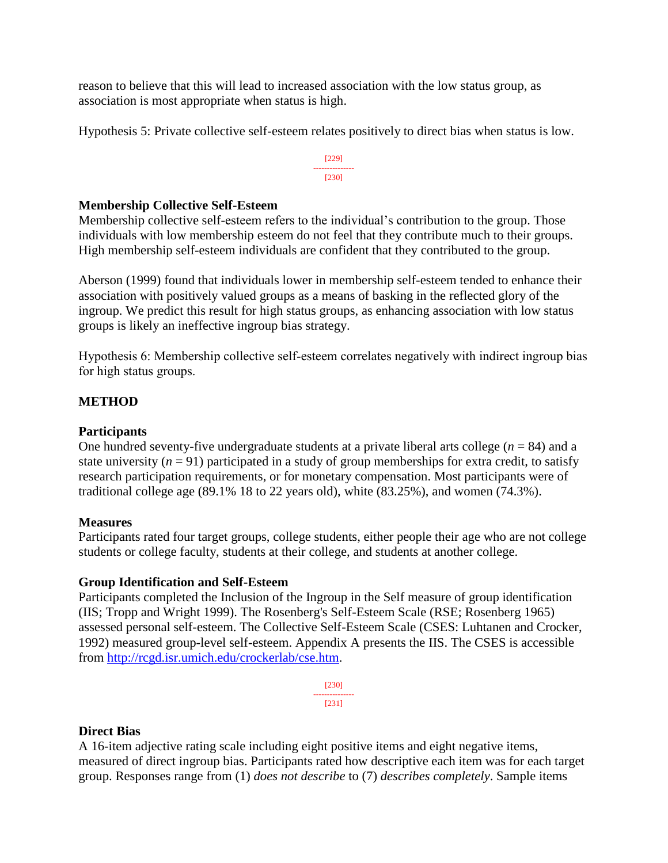reason to believe that this will lead to increased association with the low status group, as association is most appropriate when status is high.

Hypothesis 5: Private collective self-esteem relates positively to direct bias when status is low.

[229] --------------- [230]

#### **Membership Collective Self-Esteem**

Membership collective self-esteem refers to the individual's contribution to the group. Those individuals with low membership esteem do not feel that they contribute much to their groups. High membership self-esteem individuals are confident that they contributed to the group.

Aberson (1999) found that individuals lower in membership self-esteem tended to enhance their association with positively valued groups as a means of basking in the reflected glory of the ingroup. We predict this result for high status groups, as enhancing association with low status groups is likely an ineffective ingroup bias strategy.

Hypothesis 6: Membership collective self-esteem correlates negatively with indirect ingroup bias for high status groups.

### **METHOD**

#### **Participants**

One hundred seventy-five undergraduate students at a private liberal arts college (*n* = 84) and a state university  $(n = 91)$  participated in a study of group memberships for extra credit, to satisfy research participation requirements, or for monetary compensation. Most participants were of traditional college age (89.1% 18 to 22 years old), white (83.25%), and women (74.3%).

#### **Measures**

Participants rated four target groups, college students, either people their age who are not college students or college faculty, students at their college, and students at another college.

#### **Group Identification and Self-Esteem**

Participants completed the Inclusion of the Ingroup in the Self measure of group identification (IIS; Tropp and Wright 1999). The Rosenberg's Self-Esteem Scale (RSE; Rosenberg 1965) assessed personal self-esteem. The Collective Self-Esteem Scale (CSES: Luhtanen and Crocker, 1992) measured group-level self-esteem. Appendix A presents the IIS. The CSES is accessible from [http://rcgd.isr.umich.edu/crockerlab/cse.htm.](http://rcgd.isr.umich.edu/crockerlab/cse.htm)

> [230] --------------- [231]

#### **Direct Bias**

A 16-item adjective rating scale including eight positive items and eight negative items, measured of direct ingroup bias. Participants rated how descriptive each item was for each target group. Responses range from (1) *does not describe* to (7) *describes completely*. Sample items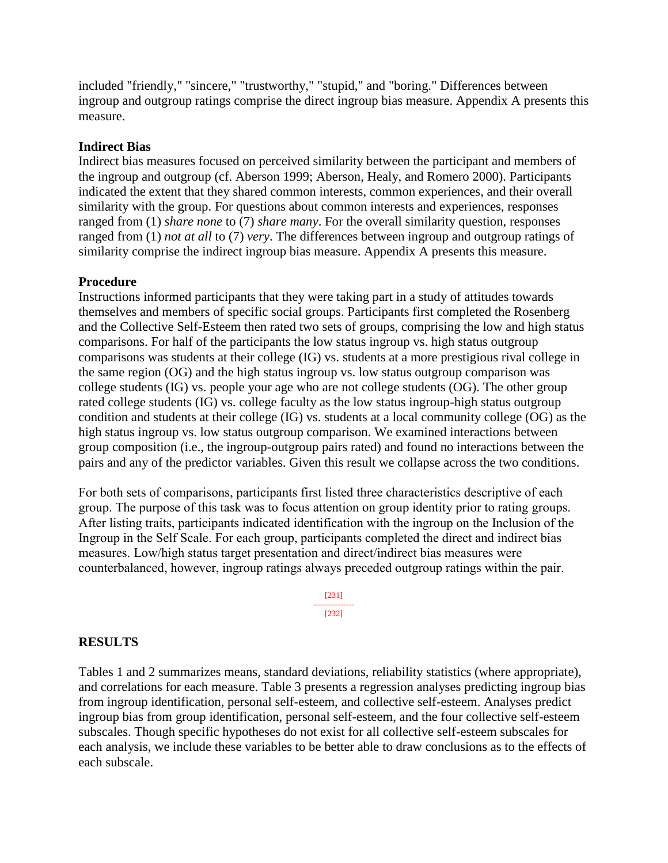included "friendly," "sincere," "trustworthy," "stupid," and "boring." Differences between ingroup and outgroup ratings comprise the direct ingroup bias measure. Appendix A presents this measure.

#### **Indirect Bias**

Indirect bias measures focused on perceived similarity between the participant and members of the ingroup and outgroup (cf. Aberson 1999; Aberson, Healy, and Romero 2000). Participants indicated the extent that they shared common interests, common experiences, and their overall similarity with the group. For questions about common interests and experiences, responses ranged from (1) *share none* to (7) *share many*. For the overall similarity question, responses ranged from (1) *not at all* to (7) *very*. The differences between ingroup and outgroup ratings of similarity comprise the indirect ingroup bias measure. Appendix A presents this measure.

#### **Procedure**

Instructions informed participants that they were taking part in a study of attitudes towards themselves and members of specific social groups. Participants first completed the Rosenberg and the Collective Self-Esteem then rated two sets of groups, comprising the low and high status comparisons. For half of the participants the low status ingroup vs. high status outgroup comparisons was students at their college (IG) vs. students at a more prestigious rival college in the same region (OG) and the high status ingroup vs. low status outgroup comparison was college students (IG) vs. people your age who are not college students (OG). The other group rated college students (IG) vs. college faculty as the low status ingroup-high status outgroup condition and students at their college (IG) vs. students at a local community college (OG) as the high status ingroup vs. low status outgroup comparison. We examined interactions between group composition (i.e., the ingroup-outgroup pairs rated) and found no interactions between the pairs and any of the predictor variables. Given this result we collapse across the two conditions.

For both sets of comparisons, participants first listed three characteristics descriptive of each group. The purpose of this task was to focus attention on group identity prior to rating groups. After listing traits, participants indicated identification with the ingroup on the Inclusion of the Ingroup in the Self Scale. For each group, participants completed the direct and indirect bias measures. Low/high status target presentation and direct/indirect bias measures were counterbalanced, however, ingroup ratings always preceded outgroup ratings within the pair.

> [231] --------------- [232]

#### **RESULTS**

Tables 1 and 2 summarizes means, standard deviations, reliability statistics (where appropriate), and correlations for each measure. Table 3 presents a regression analyses predicting ingroup bias from ingroup identification, personal self-esteem, and collective self-esteem. Analyses predict ingroup bias from group identification, personal self-esteem, and the four collective self-esteem subscales. Though specific hypotheses do not exist for all collective self-esteem subscales for each analysis, we include these variables to be better able to draw conclusions as to the effects of each subscale.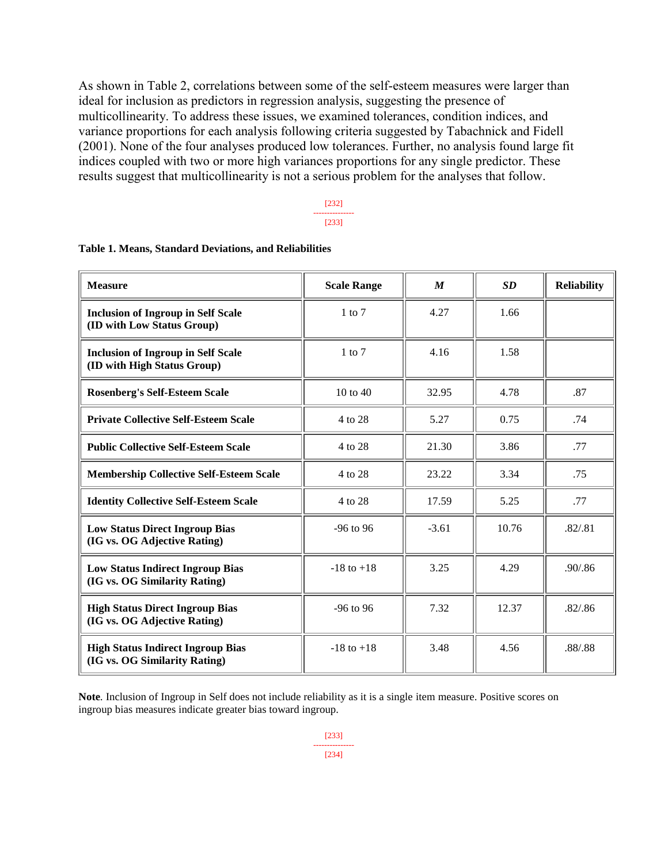As shown in Table 2, correlations between some of the self-esteem measures were larger than ideal for inclusion as predictors in regression analysis, suggesting the presence of multicollinearity. To address these issues, we examined tolerances, condition indices, and variance proportions for each analysis following criteria suggested by Tabachnick and Fidell (2001). None of the four analyses produced low tolerances. Further, no analysis found large fit indices coupled with two or more high variances proportions for any single predictor. These results suggest that multicollinearity is not a serious problem for the analyses that follow.

#### [232] --------------- [233]

| <b>Measure</b>                                                            | <b>Scale Range</b>  | M       | <b>SD</b> | <b>Reliability</b> |
|---------------------------------------------------------------------------|---------------------|---------|-----------|--------------------|
| <b>Inclusion of Ingroup in Self Scale</b><br>(ID with Low Status Group)   | $1$ to $7$          | 4.27    | 1.66      |                    |
| <b>Inclusion of Ingroup in Self Scale</b><br>(ID with High Status Group)  | $1$ to $7$          | 4.16    | 1.58      |                    |
| <b>Rosenberg's Self-Esteem Scale</b>                                      | $10 \text{ to } 40$ | 32.95   | 4.78      | .87                |
| <b>Private Collective Self-Esteem Scale</b>                               | 4 to 28             | 5.27    | 0.75      | .74                |
| <b>Public Collective Self-Esteem Scale</b>                                | 4 to 28             | 21.30   | 3.86      | .77                |
| <b>Membership Collective Self-Esteem Scale</b>                            | 4 to 28             | 23.22   | 3.34      | .75                |
| <b>Identity Collective Self-Esteem Scale</b>                              | 4 to 28             | 17.59   | 5.25      | .77                |
| <b>Low Status Direct Ingroup Bias</b><br>(IG vs. OG Adjective Rating)     | $-96$ to 96         | $-3.61$ | 10.76     | .82 / . 81         |
| <b>Low Status Indirect Ingroup Bias</b><br>(IG vs. OG Similarity Rating)  | $-18$ to $+18$      | 3.25    | 4.29      | .90/0.86           |
| <b>High Status Direct Ingroup Bias</b><br>(IG vs. OG Adjective Rating)    | $-96$ to 96         | 7.32    | 12.37     | .82/.86            |
| <b>High Status Indirect Ingroup Bias</b><br>(IG vs. OG Similarity Rating) | $-18$ to $+18$      | 3.48    | 4.56      | .88/.88            |

#### **Table 1. Means, Standard Deviations, and Reliabilities**

**Note***.* Inclusion of Ingroup in Self does not include reliability as it is a single item measure. Positive scores on ingroup bias measures indicate greater bias toward ingroup.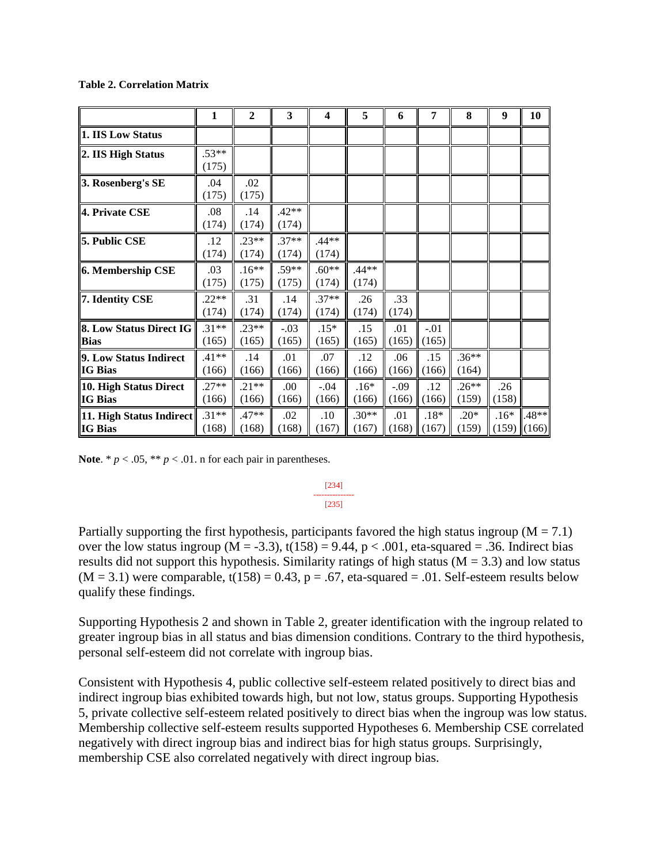#### **Table 2. Correlation Matrix**

|                                               | 1                | $\mathbf{2}$     | 3                | $\overline{\mathbf{4}}$ | 5                | 6               | 7               | 8                | 9               | 10             |
|-----------------------------------------------|------------------|------------------|------------------|-------------------------|------------------|-----------------|-----------------|------------------|-----------------|----------------|
| 1. IIS Low Status                             |                  |                  |                  |                         |                  |                 |                 |                  |                 |                |
| 2. IIS High Status                            | $.53**$<br>(175) |                  |                  |                         |                  |                 |                 |                  |                 |                |
| 3. Rosenberg's SE                             | .04<br>(175)     | .02<br>(175)     |                  |                         |                  |                 |                 |                  |                 |                |
| 4. Private CSE                                | .08<br>(174)     | .14<br>(174)     | $.42**$<br>(174) |                         |                  |                 |                 |                  |                 |                |
| <b>5. Public CSE</b>                          | .12<br>(174)     | $.23**$<br>(174) | $.37**$<br>(174) | $.44**$<br>(174)        |                  |                 |                 |                  |                 |                |
| 6. Membership CSE                             | .03<br>(175)     | $.16**$<br>(175) | $.59**$<br>(175) | $.60**$<br>(174)        | .44**<br>(174)   |                 |                 |                  |                 |                |
| 7. Identity CSE                               | $.22**$<br>(174) | .31<br>(174)     | .14<br>(174)     | $.37**$<br>(174)        | .26<br>(174)     | .33<br>(174)    |                 |                  |                 |                |
| <b>8. Low Status Direct IG</b><br><b>Bias</b> | $.31**$<br>(165) | $.23**$<br>(165) | $-.03$<br>(165)  | $.15*$<br>(165)         | .15<br>(165)     | .01<br>(165)    | $-.01$<br>(165) |                  |                 |                |
| 9. Low Status Indirect<br><b>IG Bias</b>      | $.41**$<br>(166) | .14<br>(166)     | .01<br>(166)     | .07<br>(166)            | .12<br>(166)     | .06<br>(166)    | .15<br>(166)    | $.36**$<br>(164) |                 |                |
| 10. High Status Direct<br><b>IG Bias</b>      | $.27**$<br>(166) | $.21**$<br>(166) | .00.<br>(166)    | $-.04$<br>(166)         | $.16*$<br>(166)  | $-.09$<br>(166) | .12<br>(166)    | $.26**$<br>(159) | .26<br>(158)    |                |
| 11. High Status Indirect<br><b>IG Bias</b>    | $.31**$<br>(168) | .47**<br>(168)   | .02<br>(168)     | .10<br>(167)            | $.30**$<br>(167) | .01<br>(168)    | $.18*$<br>(167) | $.20*$<br>(159)  | $.16*$<br>(159) | .48**<br>(166) |

**Note**. \*  $p < .05$ , \*\*  $p < .01$ . n for each pair in parentheses.

#### [234] --------------- [235]

Partially supporting the first hypothesis, participants favored the high status ingroup ( $M = 7.1$ ) over the low status ingroup ( $M = -3.3$ ), t(158) = 9.44, p < .001, eta-squared = .36. Indirect bias results did not support this hypothesis. Similarity ratings of high status ( $M = 3.3$ ) and low status  $(M = 3.1)$  were comparable,  $t(158) = 0.43$ ,  $p = .67$ , eta-squared = .01. Self-esteem results below qualify these findings.

Supporting Hypothesis 2 and shown in Table 2, greater identification with the ingroup related to greater ingroup bias in all status and bias dimension conditions. Contrary to the third hypothesis, personal self-esteem did not correlate with ingroup bias.

Consistent with Hypothesis 4, public collective self-esteem related positively to direct bias and indirect ingroup bias exhibited towards high, but not low, status groups. Supporting Hypothesis 5, private collective self-esteem related positively to direct bias when the ingroup was low status. Membership collective self-esteem results supported Hypotheses 6. Membership CSE correlated negatively with direct ingroup bias and indirect bias for high status groups. Surprisingly, membership CSE also correlated negatively with direct ingroup bias.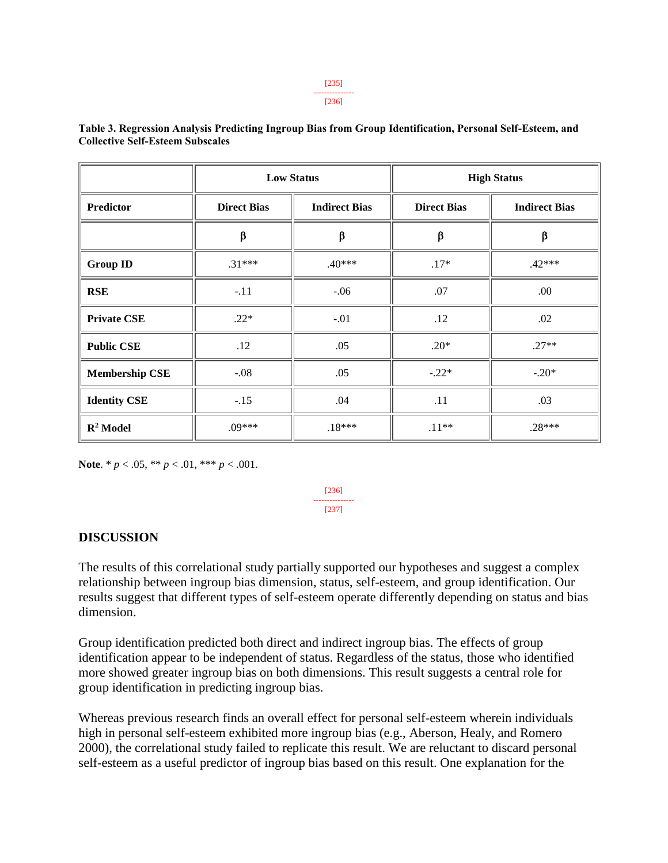#### [236]

|                       |                    | <b>Low Status</b>    | <b>High Status</b> |                      |  |
|-----------------------|--------------------|----------------------|--------------------|----------------------|--|
| Predictor             | <b>Direct Bias</b> | <b>Indirect Bias</b> | <b>Direct Bias</b> | <b>Indirect Bias</b> |  |
|                       | β                  | β                    | β                  | β                    |  |
| <b>Group ID</b>       | $.31***$           | $.40***$             | $.17*$             | $.42***$             |  |
| <b>RSE</b>            | $-.11$             | $-.06$               | .07                | .00                  |  |
| <b>Private CSE</b>    | $.22*$             | $-.01$               | .12                | .02                  |  |
| <b>Public CSE</b>     | .12                | .05                  | $.20*$             | $.27**$              |  |
| <b>Membership CSE</b> | $-.08$             | .05                  | $-.22*$            | $-.20*$              |  |
| <b>Identity CSE</b>   | $-.15$             | .04                  | .11                | .03                  |  |
| $\mathbb{R}^2$ Model  | $.09***$           | $.18***$             | $.11**$            | $.28***$             |  |

**Table 3. Regression Analysis Predicting Ingroup Bias from Group Identification, Personal Self-Esteem, and Collective Self-Esteem Subscales**

**Note**. \* *p* < .05, \*\* *p* < .01, \*\*\* *p* < .001.

[236] --------------- [237]

#### **DISCUSSION**

The results of this correlational study partially supported our hypotheses and suggest a complex relationship between ingroup bias dimension, status, self-esteem, and group identification. Our results suggest that different types of self-esteem operate differently depending on status and bias dimension.

Group identification predicted both direct and indirect ingroup bias. The effects of group identification appear to be independent of status. Regardless of the status, those who identified more showed greater ingroup bias on both dimensions. This result suggests a central role for group identification in predicting ingroup bias.

Whereas previous research finds an overall effect for personal self-esteem wherein individuals high in personal self-esteem exhibited more ingroup bias (e.g., Aberson, Healy, and Romero 2000), the correlational study failed to replicate this result. We are reluctant to discard personal self-esteem as a useful predictor of ingroup bias based on this result. One explanation for the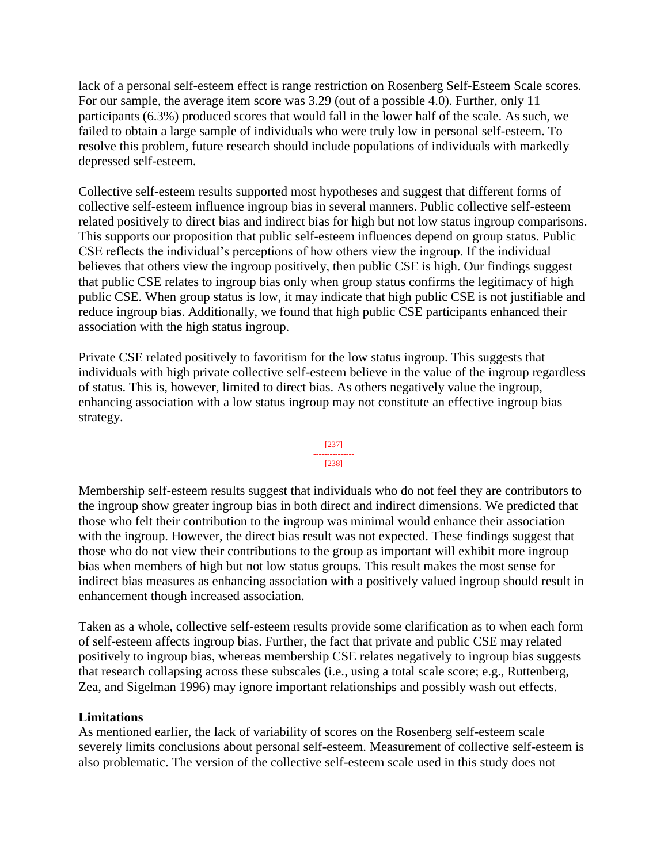lack of a personal self-esteem effect is range restriction on Rosenberg Self-Esteem Scale scores. For our sample, the average item score was 3.29 (out of a possible 4.0). Further, only 11 participants (6.3%) produced scores that would fall in the lower half of the scale. As such, we failed to obtain a large sample of individuals who were truly low in personal self-esteem. To resolve this problem, future research should include populations of individuals with markedly depressed self-esteem.

Collective self-esteem results supported most hypotheses and suggest that different forms of collective self-esteem influence ingroup bias in several manners. Public collective self-esteem related positively to direct bias and indirect bias for high but not low status ingroup comparisons. This supports our proposition that public self-esteem influences depend on group status. Public CSE reflects the individual's perceptions of how others view the ingroup. If the individual believes that others view the ingroup positively, then public CSE is high. Our findings suggest that public CSE relates to ingroup bias only when group status confirms the legitimacy of high public CSE. When group status is low, it may indicate that high public CSE is not justifiable and reduce ingroup bias. Additionally, we found that high public CSE participants enhanced their association with the high status ingroup.

Private CSE related positively to favoritism for the low status ingroup. This suggests that individuals with high private collective self-esteem believe in the value of the ingroup regardless of status. This is, however, limited to direct bias. As others negatively value the ingroup, enhancing association with a low status ingroup may not constitute an effective ingroup bias strategy.



Membership self-esteem results suggest that individuals who do not feel they are contributors to the ingroup show greater ingroup bias in both direct and indirect dimensions. We predicted that those who felt their contribution to the ingroup was minimal would enhance their association with the ingroup. However, the direct bias result was not expected. These findings suggest that those who do not view their contributions to the group as important will exhibit more ingroup bias when members of high but not low status groups. This result makes the most sense for indirect bias measures as enhancing association with a positively valued ingroup should result in enhancement though increased association.

Taken as a whole, collective self-esteem results provide some clarification as to when each form of self-esteem affects ingroup bias. Further, the fact that private and public CSE may related positively to ingroup bias, whereas membership CSE relates negatively to ingroup bias suggests that research collapsing across these subscales (i.e., using a total scale score; e.g., Ruttenberg, Zea, and Sigelman 1996) may ignore important relationships and possibly wash out effects.

#### **Limitations**

As mentioned earlier, the lack of variability of scores on the Rosenberg self-esteem scale severely limits conclusions about personal self-esteem. Measurement of collective self-esteem is also problematic. The version of the collective self-esteem scale used in this study does not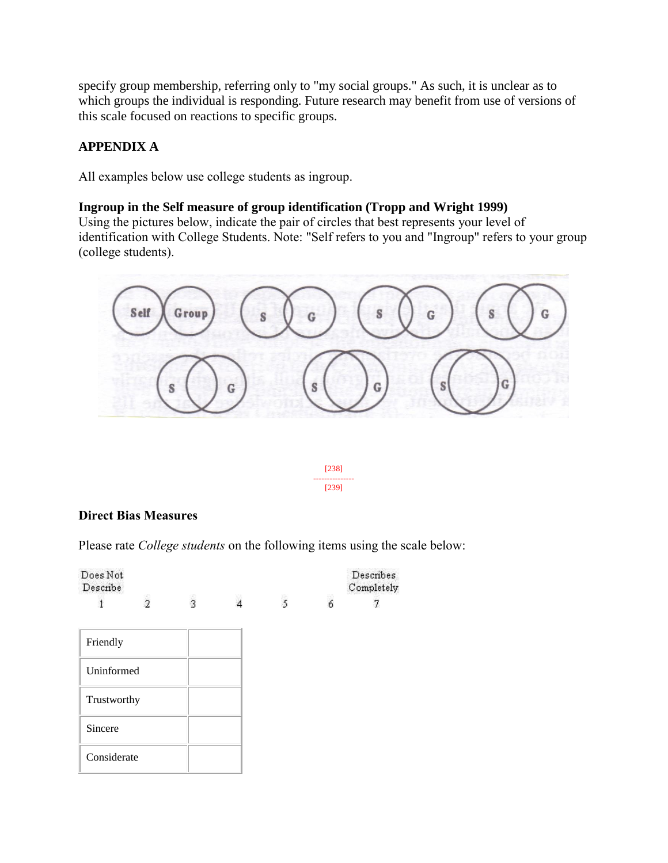specify group membership, referring only to "my social groups." As such, it is unclear as to which groups the individual is responding. Future research may benefit from use of versions of this scale focused on reactions to specific groups.

# **APPENDIX A**

All examples below use college students as ingroup.

#### **Ingroup in the Self measure of group identification (Tropp and Wright 1999)**

Using the pictures below, indicate the pair of circles that best represents your level of identification with College Students. Note: "Self refers to you and "Ingroup" refers to your group (college students).



[238] --------------- [239]

#### **Direct Bias Measures**

Please rate *College students* on the following items using the scale below:

| Does Not<br>Describe |               |   |   |   | Describes<br>Completely |
|----------------------|---------------|---|---|---|-------------------------|
|                      | $\frac{1}{2}$ | ż | 5 | 6 |                         |
| Friendly             |               |   |   |   |                         |
| Uninformed           |               |   |   |   |                         |
| Trustworthy          |               |   |   |   |                         |
| Sincere              |               |   |   |   |                         |
| Considerate          |               |   |   |   |                         |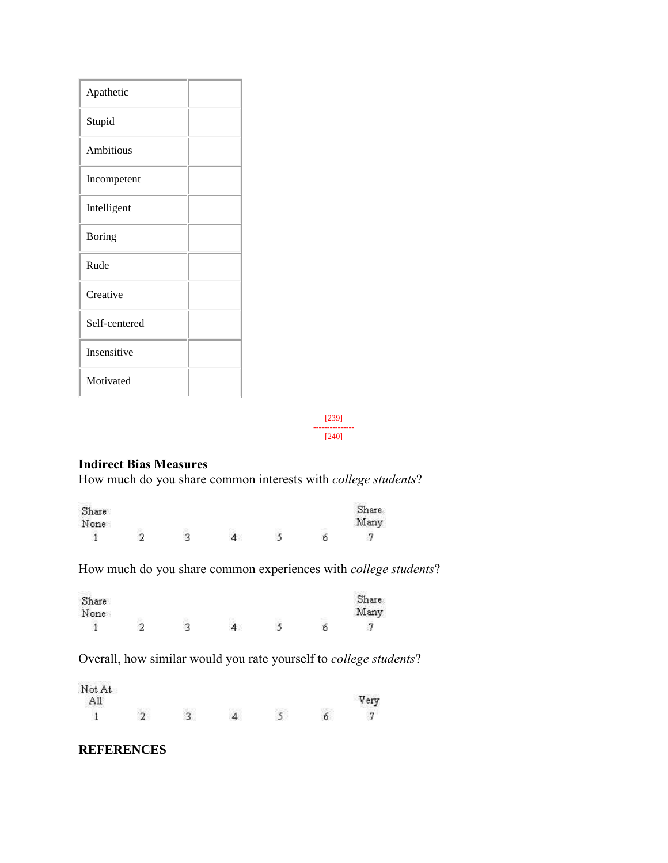| Apathetic     |  |
|---------------|--|
| Stupid        |  |
| Ambitious     |  |
| Incompetent   |  |
| Intelligent   |  |
| <b>Boring</b> |  |
| Rude          |  |
| Creative      |  |
| Self-centered |  |
| Insensitive   |  |
| Motivated     |  |

[239] --------------- [240]

## **Indirect Bias Measures**

How much do you share common interests with *college students*?

| Share |  |  | Share |
|-------|--|--|-------|
| None  |  |  | Many  |
|       |  |  |       |

How much do you share common experiences with *college students*?

| Share<br>None |    |  | Share<br>Many |
|---------------|----|--|---------------|
|               | ×. |  | 冖             |

Overall, how similar would you rate yourself to *college students*?

| $\frac{\text{Not At}}{\text{All}}$ |             |  | Very |
|------------------------------------|-------------|--|------|
|                                    | $\tilde{ }$ |  | ∍    |

### **REFERENCES**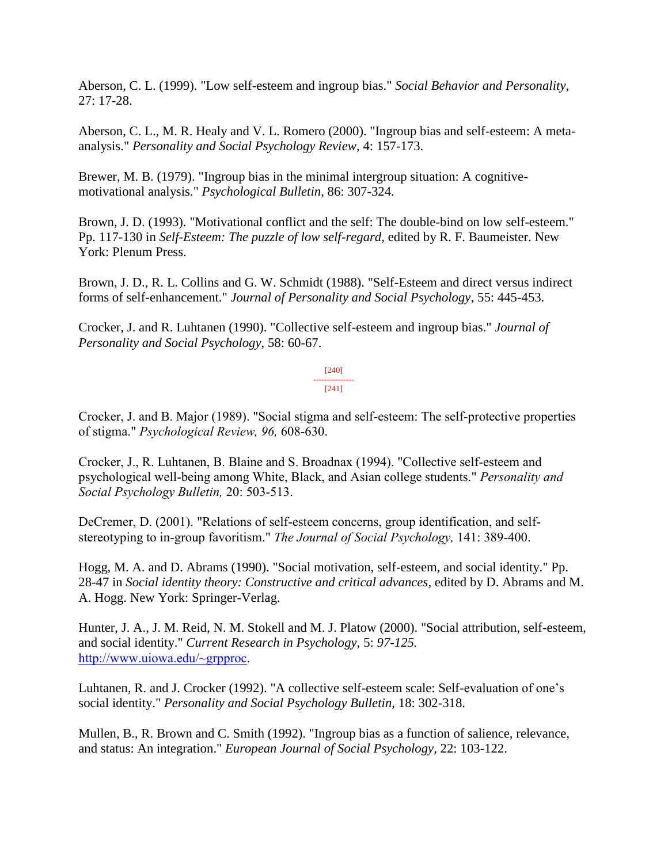Aberson, C. L. (1999). "Low self-esteem and ingroup bias." *Social Behavior and Personality*, 27: 17-28.

Aberson, C. L., M. R. Healy and V. L. Romero (2000). "Ingroup bias and self-esteem: A metaanalysis." *Personality and Social Psychology Review*, 4: 157-173.

Brewer, M. B. (1979). "Ingroup bias in the minimal intergroup situation: A cognitivemotivational analysis." *Psychological Bulletin*, 86: 307-324.

Brown, J. D. (1993). "Motivational conflict and the self: The double-bind on low self-esteem." Pp. 117-130 in *Self-Esteem: The puzzle of low self-regard*, edited by R. F. Baumeister. New York: Plenum Press.

Brown, J. D., R. L. Collins and G. W. Schmidt (1988). "Self-Esteem and direct versus indirect forms of self-enhancement." *Journal of Personality and Social Psychology*, 55: 445-453.

Crocker, J. and R. Luhtanen (1990). "Collective self-esteem and ingroup bias." *Journal of Personality and Social Psychology*, 58: 60-67.

> [240] --------------- [241]

Crocker, J. and B. Major (1989). "Social stigma and self-esteem: The self-protective properties of stigma." *Psychological Review, 96,* 608-630.

Crocker, J., R. Luhtanen, B. Blaine and S. Broadnax (1994). "Collective self-esteem and psychological well-being among White, Black, and Asian college students." *Personality and Social Psychology Bulletin,* 20: 503-513.

DeCremer, D. (2001). "Relations of self-esteem concerns, group identification, and selfstereotyping to in-group favoritism." *The Journal of Social Psychology,* 141: 389-400.

Hogg, M. A. and D. Abrams (1990). "Social motivation, self-esteem, and social identity." Pp. 28-47 in *Social identity theory: Constructive and critical advances*, edited by D. Abrams and M. A. Hogg. New York: Springer-Verlag.

Hunter, J. A., J. M. Reid, N. M. Stokell and M. J. Platow (2000). "Social attribution, self-esteem, and social identity." *Current Research in Psychology,* 5: *97-125.*  [http://www.uiowa.edu/~grpproc.](http://www.uiowa.edu/~grpproc)

Luhtanen, R. and J. Crocker (1992). "A collective self-esteem scale: Self-evaluation of one's social identity." *Personality and Social Psychology Bulletin,* 18: 302-318.

Mullen, B., R. Brown and C. Smith (1992). "Ingroup bias as a function of salience, relevance, and status: An integration." *European Journal of Social Psychology,* 22: 103-122.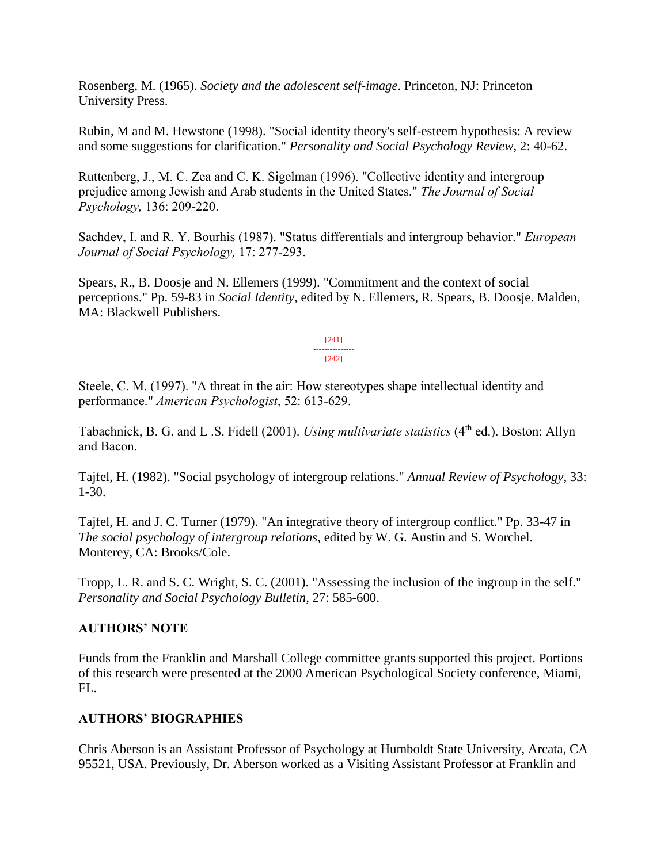Rosenberg, M. (1965). *Society and the adolescent self-image*. Princeton, NJ: Princeton University Press.

Rubin, M and M. Hewstone (1998). "Social identity theory's self-esteem hypothesis: A review and some suggestions for clarification." *Personality and Social Psychology Review,* 2: 40-62.

Ruttenberg, J., M. C. Zea and C. K. Sigelman (1996). "Collective identity and intergroup prejudice among Jewish and Arab students in the United States." *The Journal of Social Psychology,* 136: 209-220.

Sachdev, I. and R. Y. Bourhis (1987). "Status differentials and intergroup behavior." *European Journal of Social Psychology,* 17: 277-293.

Spears, R., B. Doosje and N. Ellemers (1999). "Commitment and the context of social perceptions." Pp. 59-83 in *Social Identity*, edited by N. Ellemers, R. Spears, B. Doosje. Malden, MA: Blackwell Publishers.

> [241] --------------- [242]

Steele, C. M. (1997). "A threat in the air: How stereotypes shape intellectual identity and performance." *American Psychologist*, 52: 613-629.

Tabachnick, B. G. and L .S. Fidell (2001). *Using multivariate statistics* (4<sup>th</sup> ed.). Boston: Allyn and Bacon.

Tajfel, H. (1982). "Social psychology of intergroup relations." *Annual Review of Psychology,* 33: 1-30.

Tajfel, H. and J. C. Turner (1979). "An integrative theory of intergroup conflict." Pp. 33-47 in *The social psychology of intergroup relations*, edited by W. G. Austin and S. Worchel. Monterey, CA: Brooks/Cole.

Tropp, L. R. and S. C. Wright, S. C. (2001). "Assessing the inclusion of the ingroup in the self." *Personality and Social Psychology Bulletin,* 27: 585-600.

### **AUTHORS' NOTE**

Funds from the Franklin and Marshall College committee grants supported this project. Portions of this research were presented at the 2000 American Psychological Society conference, Miami, FL.

### **AUTHORS' BIOGRAPHIES**

Chris Aberson is an Assistant Professor of Psychology at Humboldt State University, Arcata, CA 95521, USA. Previously, Dr. Aberson worked as a Visiting Assistant Professor at Franklin and